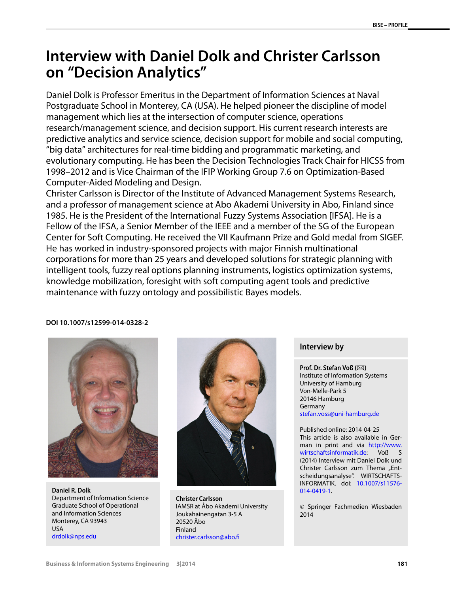## **Interview with Daniel Dolk and Christer Carlsson on "Decision Analytics"**

Daniel Dolk is Professor Emeritus in the Department of Information Sciences at Naval Postgraduate School in Monterey, CA (USA). He helped pioneer the discipline of model management which lies at the intersection of computer science, operations research/management science, and decision support. His current research interests are predictive analytics and service science, decision support for mobile and social computing, "big data" architectures for real-time bidding and programmatic marketing, and evolutionary computing. He has been the Decision Technologies Track Chair for HICSS from 1998–2012 and is Vice Chairman of the IFIP Working Group 7.6 on Optimization-Based Computer-Aided Modeling and Design.

Christer Carlsson is Director of the Institute of Advanced Management Systems Research, and a professor of management science at Abo Akademi University in Abo, Finland since 1985. He is the President of the International Fuzzy Systems Association [IFSA]. He is a Fellow of the IFSA, a Senior Member of the IEEE and a member of the SG of the European Center for Soft Computing. He received the VII Kaufmann Prize and Gold medal from SIGEF. He has worked in industry-sponsored projects with major Finnish multinational corporations for more than 25 years and developed solutions for strategic planning with intelligent tools, fuzzy real options planning instruments, logistics optimization systems, knowledge mobilization, foresight with soft computing agent tools and predictive maintenance with fuzzy ontology and possibilistic Bayes models.

## **DOI 10.1007/s12599-014-0328-2**



**Daniel R. Dolk** Department of Information Science Graduate School of Operational and Information Sciences Monterey, CA 93943 USA [drdolk@nps.edu](mailto:drdolk@nps.edu)



**Christer Carlsson** IAMSR at Åbo Akademi University Joukahainengatan 3-5 A 20520 Åbo Finland [christer.carlsson@abo.fi](mailto:christer.carlsson@abo.fi)

## **Interview by**

**Prof. Dr. Stefan Voß (⊠)** Institute of Information Systems University of Hamburg Von-Melle-Park 5 20146 Hamburg Germany [stefan.voss@uni-hamburg.de](mailto:stefan.voss@uni-hamburg.de)

Published online: 2014-04-25 This article is also available in German in print and via [http://www.](http://www.wirtschaftsinformatik.de) [wirtschaftsinformatik.de:](http://www.wirtschaftsinformatik.de) Voß S (2014) Interview mit Daniel Dolk und Christer Carlsson zum Thema "Entscheidungsanalyse". WIRTSCHAFTS-INFORMATIK. doi: [10.1007/s11576-](http://dx.doi.org/10.1007/s11576-014-0419-1) [014-0419-1](http://dx.doi.org/10.1007/s11576-014-0419-1).

© Springer Fachmedien Wiesbaden 2014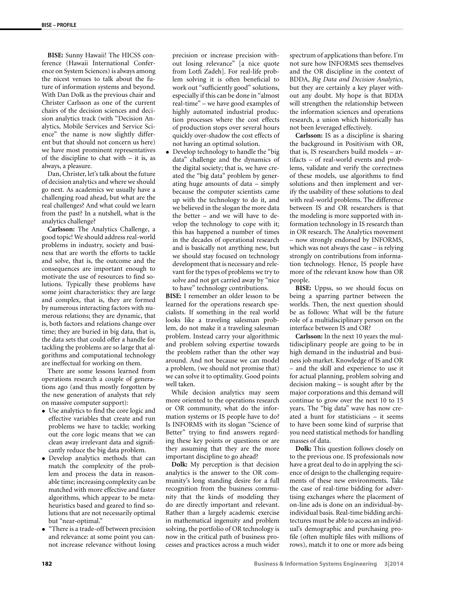**BISE:** Sunny Hawaii! The HICSS conference (Hawaii International Conference on System Sciences) is always among the nicest venues to talk about the future of information systems and beyond. With Dan Dolk as the previous chair and Christer Carlsson as one of the current chairs of the decision sciences and decision analytics track (with "Decision Analytics, Mobile Services and Service Science" the name is now slightly different but that should not concern us here) we have most prominent representatives of the discipline to chat with – it is, as always, a pleasure.

Dan, Christer, let's talk about the future of decision analytics and where we should go next. As academics we usually have a challenging road ahead, but what are the real challenges? And what could we learn from the past? In a nutshell, what is the analytics challenge?

**Carlsson:** The Analytics Challenge, a good topic! We should address real-world problems in industry, society and business that are worth the efforts to tackle and solve, that is, the outcome and the consequences are important enough to motivate the use of resources to find solutions. Typically these problems have some joint characteristics: they are large and complex, that is, they are formed by numerous interacting factors with numerous relations; they are dynamic, that is, both factors and relations change over time; they are buried in big data, that is, the data sets that could offer a handle for tackling the problems are so large that algorithms and computational technology are ineffectual for working on them.

There are some lessons learned from operations research a couple of generations ago (and thus mostly forgotten by the new generation of analysts that rely on massive computer support):

- Use analytics to find the core logic and effective variables that create and run problems we have to tackle; working out the core logic means that we can clean away irrelevant data and significantly reduce the big data problem.
- Develop analytics methods that can match the complexity of the problem and process the data in reasonable time; increasing complexity can be matched with more effective and faster algorithms, which appear to be metaheuristics based and geared to find solutions that are not necessarily optimal but "near-optimal."
- "There is a trade-off between precision and relevance: at some point you cannot increase relevance without losing

precision or increase precision without losing relevance" [a nice quote from Lotfi Zadeh]. For real-life problem solving it is often beneficial to work out "sufficiently good" solutions, especially if this can be done in "almost real-time" – we have good examples of highly automated industrial production processes where the cost effects of production stops over several hours quickly over-shadow the cost effects of not having an optimal solution.

• Develop technology to handle the "big data" challenge and the dynamics of the digital society; that is, we have created the "big data" problem by generating huge amounts of data – simply because the computer scientists came up with the technology to do it, and we believed in the slogan the more data the better – and we will have to develop the technology to cope with it; this has happened a number of times in the decades of operational research and is basically not anything new, but we should stay focused on technology development that is necessary and relevant for the types of problems we try to solve and not get carried away by "nice

to have" technology contributions. **BISE:** I remember an older lesson to be learned for the operations research specialists. If something in the real world looks like a traveling salesman problem, do not make it a traveling salesman problem. Instead carry your algorithmic and problem solving expertise towards the problem rather than the other way around. And not because we can model a problem, (we should not promise that) we can solve it to optimality. Good points well taken.

While decision analytics may seem more oriented to the operations research or OR community, what do the information systems or IS people have to do? Is INFORMS with its slogan "Science of Better" trying to find answers regarding these key points or questions or are they assuming that they are the more important discipline to go ahead?

**Dolk:** My perception is that decision analytics is the answer to the OR community's long standing desire for a full recognition from the business community that the kinds of modeling they do are directly important and relevant. Rather than a largely academic exercise in mathematical ingenuity and problem solving, the portfolio of OR technology is now in the critical path of business processes and practices across a much wider

spectrum of applications than before. I'm not sure how INFORMS sees themselves and the OR discipline in the context of BDDA, *Big Data and Decision Analytics*, but they are certainly a key player without any doubt. My hope is that BDDA will strengthen the relationship between the information sciences and operations research, a union which historically has not been leveraged effectively.

**Carlsson:** IS as a discipline is sharing the background in Positivism with OR, that is, IS researchers build models – artifacts – of real-world events and problems, validate and verify the correctness of these models, use algorithms to find solutions and then implement and verify the usability of these solutions to deal with real-world problems. The difference between IS and OR researchers is that the modeling is more supported with information technology in IS research than in OR research. The Analytics movement – now strongly endorsed by INFORMS, which was not always the case – is relying strongly on contributions from information technology. Hence, IS people have more of the relevant know how than OR people.

**BISE:** Uppss, so we should focus on being a sparring partner between the worlds. Then, the next question should be as follows: What will be the future role of a multidisciplinary person on the interface between IS and OR?

**Carlsson:** In the next 10 years the multidisciplinary people are going to be in high demand in the industrial and business job market. Knowledge of IS and OR – and the skill and experience to use it for actual planning, problem solving and decision making – is sought after by the major corporations and this demand will continue to grow over the next 10 to 15 years. The "big data" wave has now created a hunt for statisticians – it seems to have been some kind of surprise that you need statistical methods for handling masses of data.

**Dolk:** This question follows closely on to the previous one. IS professionals now have a great deal to do in applying the science of design to the challenging requirements of these new environments. Take the case of real-time bidding for advertising exchanges where the placement of on-line ads is done on an individual-byindividual basis. Real-time bidding architectures must be able to access an individual's demographic and purchasing profile (often multiple files with millions of rows), match it to one or more ads being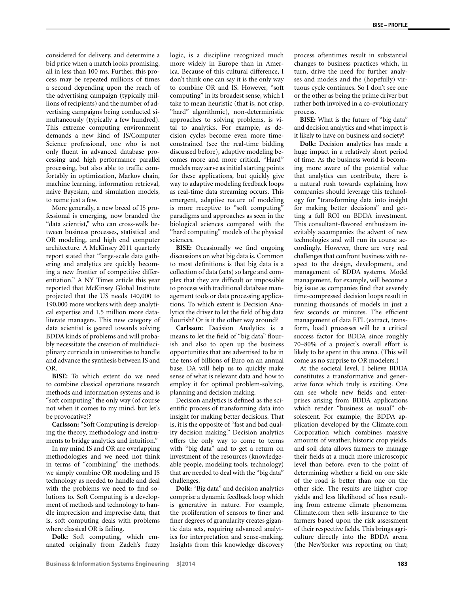considered for delivery, and determine a bid price when a match looks promising, all in less than 100 ms. Further, this process may be repeated millions of times a second depending upon the reach of the advertising campaign (typically millions of recipients) and the number of advertising campaigns being conducted simultaneously (typically a few hundred). This extreme computing environment demands a new kind of IS/Computer Science professional, one who is not only fluent in advanced database processing and high performance parallel processing, but also able to traffic comfortably in optimization, Markov chain, machine learning, information retrieval, naive Bayesian, and simulation models, to name just a few.

More generally, a new breed of IS professional is emerging, now branded the "data scientist," who can cross-walk between business processes, statistical and OR modeling, and high end computer architecture. A McKinsey 2011 quarterly report stated that "large-scale data gathering and analytics are quickly becoming a new frontier of competitive differentiation." A NY Times article this year reported that McKinsey Global Institute projected that the US needs 140,000 to 190,000 more workers with deep analytical expertise and 1.5 million more dataliterate managers. This new category of data scientist is geared towards solving BDDA kinds of problems and will probably necessitate the creation of multidisciplinary curricula in universities to handle and advance the synthesis between IS and OR.

**BISE:** To which extent do we need to combine classical operations research methods and information systems and is "soft computing" the only way (of course not when it comes to my mind, but let's be provocative)?

**Carlsson:** "Soft Computing is developing the theory, methodology and instruments to bridge analytics and intuition."

In my mind IS and OR are overlapping methodologies and we need not think in terms of "combining" the methods, we simply combine OR modeling and IS technology as needed to handle and deal with the problems we need to find solutions to. Soft Computing is a development of methods and technology to handle imprecision and imprecise data, that is, soft computing deals with problems where classical OR is failing.

**Dolk:** Soft computing, which emanated originally from Zadeh's fuzzy logic, is a discipline recognized much more widely in Europe than in America. Because of this cultural difference, I don't think one can say it is the only way to combine OR and IS. However, "soft computing" in its broadest sense, which I take to mean heuristic (that is, not crisp, "hard" algorithmic), non-deterministic approaches to solving problems, is vital to analytics. For example, as decision cycles become even more timeconstrained (see the real-time bidding discussed before), adaptive modeling becomes more and more critical. "Hard" models may serve as initial starting points for these applications, but quickly give way to adaptive modeling feedback loops as real-time data streaming occurs. This emergent, adaptive nature of modeling is more receptive to "soft computing" paradigms and approaches as seen in the biological sciences compared with the "hard computing" models of the physical sciences.

**BISE:** Occasionally we find ongoing discussions on what big data is. Common to most definitions is that big data is a collection of data (sets) so large and complex that they are difficult or impossible to process with traditional database management tools or data processing applications. To which extent is Decision Analytics the driver to let the field of big data flourish? Or is it the other way around?

**Carlsson:** Decision Analytics is a means to let the field of "big data" flourish and also to open up the business opportunities that are advertised to be in the tens of billions of Euro on an annual base. DA will help us to quickly make sense of what is relevant data and how to employ it for optimal problem-solving, planning and decision making.

Decision analytics is defined as the scientific process of transforming data into insight for making better decisions. That is, it is the opposite of "fast and bad quality decision making." Decision analytics offers the only way to come to terms with "big data" and to get a return on investment of the resources (knowledgeable people, modeling tools, technology) that are needed to deal with the "big data" challenges.

**Dolk:** "Big data" and decision analytics comprise a dynamic feedback loop which is generative in nature. For example, the proliferation of sensors to finer and finer degrees of granularity creates gigantic data sets, requiring advanced analytics for interpretation and sense-making. Insights from this knowledge discovery

process oftentimes result in substantial changes to business practices which, in turn, drive the need for further analyses and models and the (hopefully) virtuous cycle continues. So I don't see one or the other as being the prime driver but rather both involved in a co-evolutionary process.

**BISE:** What is the future of "big data" and decision analytics and what impact is it likely to have on business and society?

**Dolk:** Decision analytics has made a huge impact in a relatively short period of time. As the business world is becoming more aware of the potential value that analytics can contribute, there is a natural rush towards explaining how companies should leverage this technology for "transforming data into insight for making better decisions" and getting a full ROI on BDDA investment. This consultant-flavored enthusiasm inevitably accompanies the advent of new technologies and will run its course accordingly. However, there are very real challenges that confront business with respect to the design, development, and management of BDDA systems. Model management, for example, will become a big issue as companies find that severely time-compressed decision loops result in running thousands of models in just a few seconds or minutes. The efficient management of data ETL (extract, transform, load) processes will be a critical success factor for BDDA since roughly 70–80% of a project's overall effort is likely to be spent in this arena. (This will come as no surprise to OR modelers.)

At the societal level, I believe BDDA constitutes a transformative and generative force which truly is exciting. One can see whole new fields and enterprises arising from BDDA applications which render "business as usual" obsolescent. For example, the BDDA application developed by the Climate.com Corporation which combines massive amounts of weather, historic crop yields, and soil data allows farmers to manage their fields at a much more microscopic level than before, even to the point of determining whether a field on one side of the road is better than one on the other side. The results are higher crop yields and less likelihood of loss resulting from extreme climate phenomena. Climate.com then sells insurance to the farmers based upon the risk assessment of their respective fields. This brings agriculture directly into the BDDA arena (the NewYorker was reporting on that;